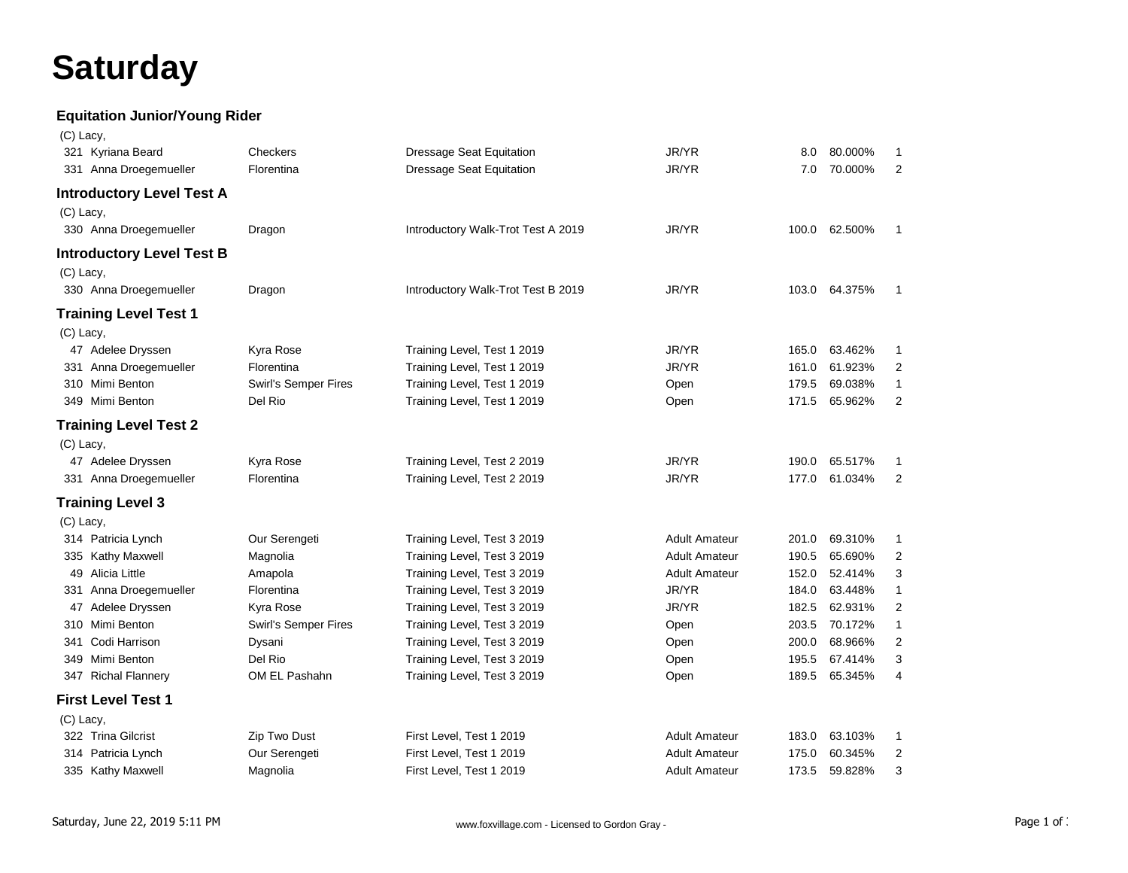## **Saturday**

## **Equitation Junior/Young Rider**

| (C) Lacy, |                                  |                      |                                    |                      |       |         |                |
|-----------|----------------------------------|----------------------|------------------------------------|----------------------|-------|---------|----------------|
|           | 321 Kyriana Beard                | Checkers             | Dressage Seat Equitation           | JR/YR                | 8.0   | 80.000% | $\mathbf{1}$   |
|           | 331 Anna Droegemueller           | Florentina           | <b>Dressage Seat Equitation</b>    | JR/YR                | 7.0   | 70.000% | 2              |
|           | <b>Introductory Level Test A</b> |                      |                                    |                      |       |         |                |
| (C) Lacy, |                                  |                      |                                    |                      |       |         |                |
|           | 330 Anna Droegemueller           | Dragon               | Introductory Walk-Trot Test A 2019 | JR/YR                | 100.0 | 62.500% | $\mathbf{1}$   |
|           | <b>Introductory Level Test B</b> |                      |                                    |                      |       |         |                |
| (C) Lacy, |                                  |                      |                                    |                      |       |         |                |
|           | 330 Anna Droegemueller           | Dragon               | Introductory Walk-Trot Test B 2019 | JR/YR                | 103.0 | 64.375% | $\mathbf{1}$   |
|           | <b>Training Level Test 1</b>     |                      |                                    |                      |       |         |                |
| (C) Lacy, |                                  |                      |                                    |                      |       |         |                |
|           | 47 Adelee Dryssen                | Kyra Rose            | Training Level, Test 1 2019        | JR/YR                | 165.0 | 63.462% | 1              |
|           | 331 Anna Droegemueller           | Florentina           | Training Level, Test 1 2019        | JR/YR                | 161.0 | 61.923% | $\overline{c}$ |
|           | 310 Mimi Benton                  | Swirl's Semper Fires | Training Level, Test 1 2019        | Open                 | 179.5 | 69.038% | 1              |
|           | 349 Mimi Benton                  | Del Rio              | Training Level, Test 1 2019        | Open                 | 171.5 | 65.962% | 2              |
|           | <b>Training Level Test 2</b>     |                      |                                    |                      |       |         |                |
| (C) Lacy, |                                  |                      |                                    |                      |       |         |                |
|           | 47 Adelee Dryssen                | Kyra Rose            | Training Level, Test 2 2019        | JR/YR                | 190.0 | 65.517% | 1              |
|           | 331 Anna Droegemueller           | Florentina           | Training Level, Test 2 2019        | JR/YR                | 177.0 | 61.034% | 2              |
|           | <b>Training Level 3</b>          |                      |                                    |                      |       |         |                |
| (C) Lacy, |                                  |                      |                                    |                      |       |         |                |
|           | 314 Patricia Lynch               | Our Serengeti        | Training Level, Test 3 2019        | <b>Adult Amateur</b> | 201.0 | 69.310% | $\mathbf{1}$   |
|           | 335 Kathy Maxwell                | Magnolia             | Training Level, Test 3 2019        | <b>Adult Amateur</b> | 190.5 | 65.690% | $\overline{2}$ |
|           | 49 Alicia Little                 | Amapola              | Training Level, Test 3 2019        | <b>Adult Amateur</b> | 152.0 | 52.414% | 3              |
|           | 331 Anna Droegemueller           | Florentina           | Training Level, Test 3 2019        | JR/YR                | 184.0 | 63.448% | $\mathbf{1}$   |
|           | 47 Adelee Dryssen                | Kyra Rose            | Training Level, Test 3 2019        | JR/YR                | 182.5 | 62.931% | 2              |
|           | 310 Mimi Benton                  | Swirl's Semper Fires | Training Level, Test 3 2019        | Open                 | 203.5 | 70.172% | $\mathbf{1}$   |
| 341       | Codi Harrison                    | Dysani               | Training Level, Test 3 2019        | Open                 | 200.0 | 68.966% | $\overline{c}$ |
|           | 349 Mimi Benton                  | Del Rio              | Training Level, Test 3 2019        | Open                 | 195.5 | 67.414% | 3              |
|           | 347 Richal Flannery              | OM EL Pashahn        | Training Level, Test 3 2019        | Open                 | 189.5 | 65.345% | 4              |
|           | <b>First Level Test 1</b>        |                      |                                    |                      |       |         |                |
| (C) Lacy, |                                  |                      |                                    |                      |       |         |                |
|           | 322 Trina Gilcrist               | Zip Two Dust         | First Level, Test 1 2019           | <b>Adult Amateur</b> | 183.0 | 63.103% | 1              |
|           | 314 Patricia Lynch               | Our Serengeti        | First Level, Test 1 2019           | <b>Adult Amateur</b> | 175.0 | 60.345% | 2              |
|           | 335 Kathy Maxwell                | Magnolia             | First Level, Test 1 2019           | <b>Adult Amateur</b> | 173.5 | 59.828% | 3              |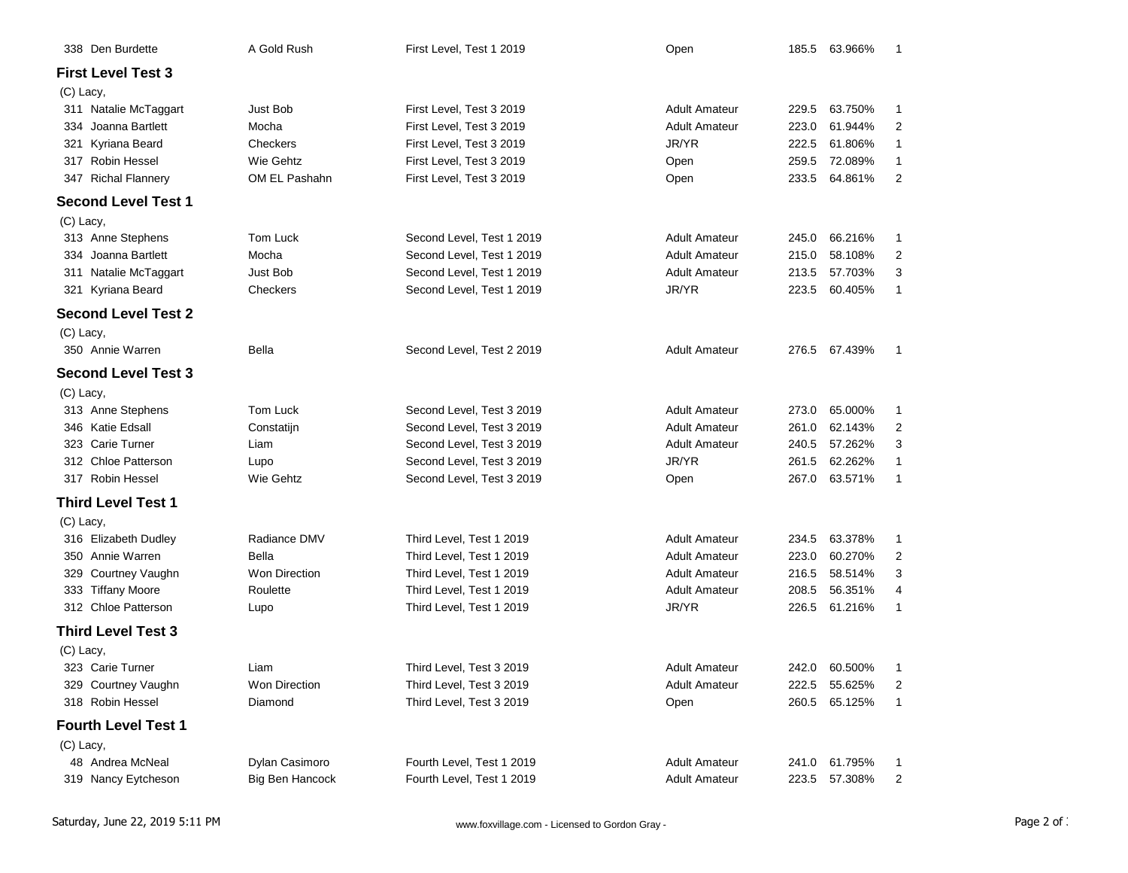| 338 Den Burdette           | A Gold Rush          | First Level, Test 1 2019  | Open                 |       | 185.5 63.966% | -1             |
|----------------------------|----------------------|---------------------------|----------------------|-------|---------------|----------------|
| <b>First Level Test 3</b>  |                      |                           |                      |       |               |                |
| (C) Lacy,                  |                      |                           |                      |       |               |                |
| 311 Natalie McTaggart      | <b>Just Bob</b>      | First Level, Test 3 2019  | <b>Adult Amateur</b> | 229.5 | 63.750%       | 1              |
| 334 Joanna Bartlett        | Mocha                | First Level, Test 3 2019  | <b>Adult Amateur</b> | 223.0 | 61.944%       | 2              |
| 321 Kyriana Beard          | Checkers             | First Level, Test 3 2019  | JR/YR                | 222.5 | 61.806%       | 1              |
| 317 Robin Hessel           | Wie Gehtz            | First Level, Test 3 2019  | Open                 | 259.5 | 72.089%       | $\mathbf{1}$   |
| 347 Richal Flannery        | OM EL Pashahn        | First Level, Test 3 2019  | Open                 | 233.5 | 64.861%       | 2              |
| <b>Second Level Test 1</b> |                      |                           |                      |       |               |                |
| (C) Lacy,                  |                      |                           |                      |       |               |                |
| 313 Anne Stephens          | Tom Luck             | Second Level, Test 1 2019 | <b>Adult Amateur</b> | 245.0 | 66.216%       | 1              |
| 334 Joanna Bartlett        | Mocha                | Second Level, Test 1 2019 | <b>Adult Amateur</b> | 215.0 | 58.108%       | 2              |
| 311 Natalie McTaggart      | Just Bob             | Second Level, Test 1 2019 | <b>Adult Amateur</b> | 213.5 | 57.703%       | 3              |
| 321 Kyriana Beard          | Checkers             | Second Level, Test 1 2019 | JR/YR                | 223.5 | 60.405%       | $\mathbf{1}$   |
| <b>Second Level Test 2</b> |                      |                           |                      |       |               |                |
| (C) Lacy,                  |                      |                           |                      |       |               |                |
| 350 Annie Warren           | Bella                | Second Level, Test 2 2019 | <b>Adult Amateur</b> |       | 276.5 67.439% | -1             |
| <b>Second Level Test 3</b> |                      |                           |                      |       |               |                |
| (C) Lacy,                  |                      |                           |                      |       |               |                |
| 313 Anne Stephens          | Tom Luck             | Second Level, Test 3 2019 | <b>Adult Amateur</b> | 273.0 | 65.000%       | $\mathbf{1}$   |
| 346 Katie Edsall           | Constatijn           | Second Level, Test 3 2019 | <b>Adult Amateur</b> | 261.0 | 62.143%       | 2              |
| 323 Carie Turner           | Liam                 | Second Level, Test 3 2019 | <b>Adult Amateur</b> | 240.5 | 57.262%       | 3              |
| 312 Chloe Patterson        | Lupo                 | Second Level, Test 3 2019 | JR/YR                | 261.5 | 62.262%       | 1              |
| 317 Robin Hessel           | Wie Gehtz            | Second Level, Test 3 2019 | Open                 | 267.0 | 63.571%       | 1              |
| <b>Third Level Test 1</b>  |                      |                           |                      |       |               |                |
| (C) Lacy,                  |                      |                           |                      |       |               |                |
| 316 Elizabeth Dudley       | Radiance DMV         | Third Level, Test 1 2019  | <b>Adult Amateur</b> | 234.5 | 63.378%       | $\mathbf{1}$   |
| 350 Annie Warren           | Bella                | Third Level, Test 1 2019  | <b>Adult Amateur</b> | 223.0 | 60.270%       | 2              |
| 329 Courtney Vaughn        | <b>Won Direction</b> | Third Level, Test 1 2019  | <b>Adult Amateur</b> | 216.5 | 58.514%       | 3              |
| 333 Tiffany Moore          | Roulette             | Third Level, Test 1 2019  | <b>Adult Amateur</b> | 208.5 | 56.351%       | 4              |
| 312 Chloe Patterson        | Lupo                 | Third Level, Test 1 2019  | JR/YR                | 226.5 | 61.216%       | $\mathbf{1}$   |
| <b>Third Level Test 3</b>  |                      |                           |                      |       |               |                |
| (C) Lacy,                  |                      |                           |                      |       |               |                |
| 323 Carie Turner           | Liam                 | Third Level, Test 3 2019  | <b>Adult Amateur</b> | 242.0 | 60.500%       | 1              |
| 329 Courtney Vaughn        | Won Direction        | Third Level, Test 3 2019  | <b>Adult Amateur</b> | 222.5 | 55.625%       | 2              |
| 318 Robin Hessel           | Diamond              | Third Level, Test 3 2019  | Open                 | 260.5 | 65.125%       | 1              |
| <b>Fourth Level Test 1</b> |                      |                           |                      |       |               |                |
| (C) Lacy,                  |                      |                           |                      |       |               |                |
| 48 Andrea McNeal           | Dylan Casimoro       | Fourth Level, Test 1 2019 | <b>Adult Amateur</b> | 241.0 | 61.795%       | 1              |
| 319 Nancy Eytcheson        | Big Ben Hancock      | Fourth Level, Test 1 2019 | <b>Adult Amateur</b> | 223.5 | 57.308%       | $\overline{2}$ |
|                            |                      |                           |                      |       |               |                |